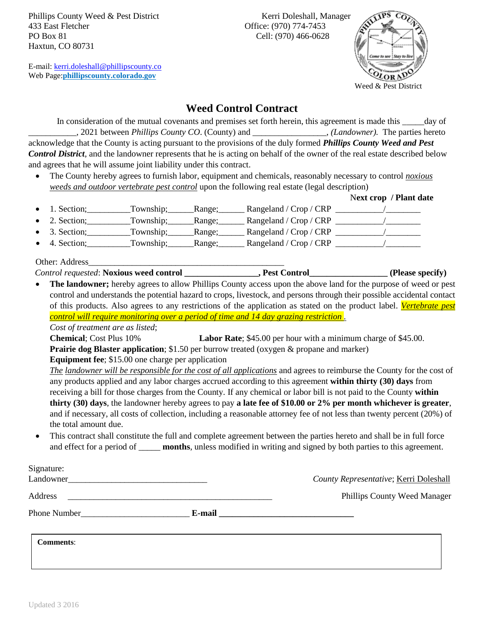Phillips County Weed & Pest District Kerri Doleshall, Manager 433 East Fletcher Office: (970) 774-7453 PO Box 81 Cell: (970) 466-0628 Haxtun, CO 80731

E-mail: [kerri.doleshall@phillipscounty.co](mailto:kerri.doleshall@phillipscounty.co) Web Page:**[phillipscounty.colorado.gov](file:///C:/Users/Phillips%20Weed%20Dist/Dropbox/Part%20time%20emp/2015/www.colorado.gov/phillipscounty)**



**Weed Control Contract**

In consideration of the mutual covenants and premises set forth herein, this agreement is made this \_\_\_\_day of \_\_\_\_\_\_\_\_\_\_*\_,* 2021 between *Phillips County CO*. (County) and \_\_\_\_\_\_\_\_\_\_\_\_\_\_\_\_\_, *(Landowner).* The parties hereto acknowledge that the County is acting pursuant to the provisions of the duly formed *Phillips County Weed and Pest Control District*, and the landowner represents that he is acting on behalf of the owner of the real estate described below and agrees that he will assume joint liability under this contract.

• The County hereby agrees to furnish labor, equipment and chemicals, reasonably necessary to control *noxious weeds and outdoor vertebrate pest control* upon the following real estate (legal description)

|                       |                  |                        | Next crop / Plant date |
|-----------------------|------------------|------------------------|------------------------|
| $\bullet$ 1. Section; | Township; Range; |                        |                        |
| $\bullet$ 2. Section; | Township; Range; | Rangeland / Crop / CRP |                        |
| $\bullet$ 3. Section; | Township; Range; |                        |                        |
| $\bullet$ 4. Section; | Township; Range; | Rangeland / Crop / CRP |                        |

Other: Address

*Control requested*: **Noxious weed control \_\_\_\_\_\_\_\_\_\_\_\_\_\_\_\_\_, Pest Control\_\_\_\_\_\_\_\_\_\_\_\_\_\_\_\_\_\_ (Please specify)**

• **The landowner;** hereby agrees to allow Phillips County access upon the above land for the purpose of weed or pest control and understands the potential hazard to crops, livestock, and persons through their possible accidental contact of this products. Also agrees to any restrictions of the application as stated on the product label. *Vertebrate pest control will require monitoring over a period of time and 14 day grazing restriction .*

*Cost of treatment are as listed*;

**Chemical**; Cost Plus 10% **Labor Rate**; \$45.00 per hour with a minimum charge of \$45.00. **Prairie dog Blaster application**; \$1.50 per burrow treated (oxygen & propane and marker)

**Equipment fee**; \$15.00 one charge per application

*The landowner will be responsible for the cost of all applications* and agrees to reimburse the County for the cost of any products applied and any labor charges accrued according to this agreement **within thirty (30) days** from receiving a bill for those charges from the County. If any chemical or labor bill is not paid to the County **within thirty (30) days**, the landowner hereby agrees to pay **a late fee of \$10.00 or 2% per month whichever is greater**, and if necessary, all costs of collection, including a reasonable attorney fee of not less than twenty percent (20%) of the total amount due.

• This contract shall constitute the full and complete agreement between the parties hereto and shall be in full force and effect for a period of **\_\_\_\_\_ months**, unless modified in writing and signed by both parties to this agreement.

| Signature:       |        |                                        |  |
|------------------|--------|----------------------------------------|--|
| Landowner        |        | County Representative; Kerri Doleshall |  |
| Address          |        | <b>Phillips County Weed Manager</b>    |  |
| Phone Number     | E-mail |                                        |  |
| <b>Comments:</b> |        |                                        |  |